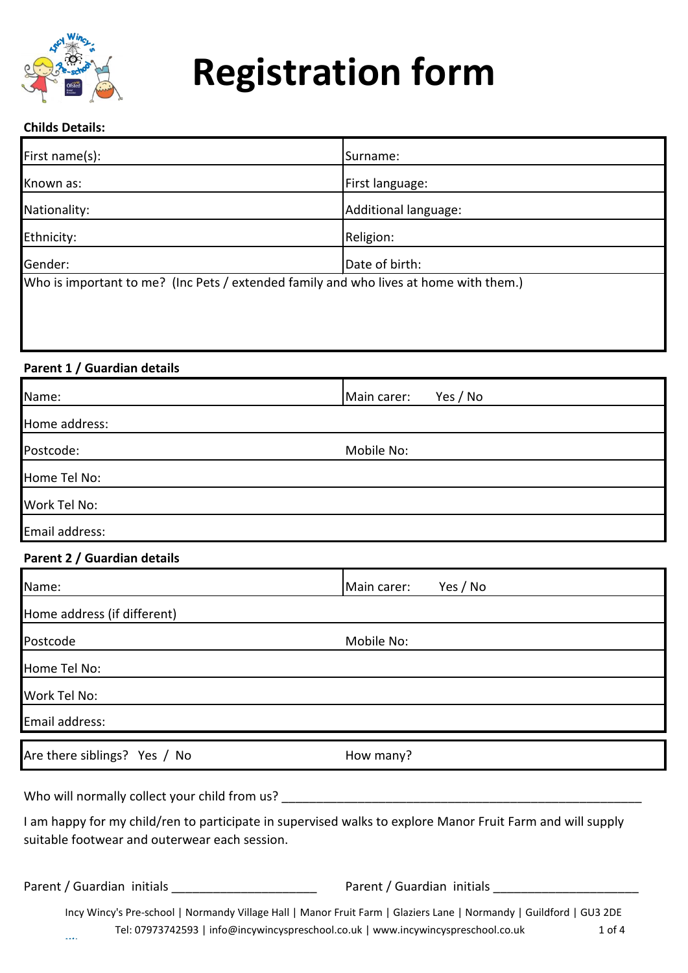

#### **Childs Details:**

| First name(s):                                                                        | Surname:             |
|---------------------------------------------------------------------------------------|----------------------|
| Known as:                                                                             | First language:      |
| Nationality:                                                                          | Additional language: |
| Ethnicity:                                                                            | Religion:            |
| Gender:                                                                               | Date of birth:       |
| Who is important to me? (Inc Pets / extended family and who lives at home with them.) |                      |
|                                                                                       |                      |
|                                                                                       |                      |
|                                                                                       |                      |

## **Parent 1 / Guardian details**

| Name:          | Yes / No<br>Main carer: |
|----------------|-------------------------|
| Home address:  |                         |
| Postcode:      | Mobile No:              |
| Home Tel No:   |                         |
| Work Tel No:   |                         |
| Email address: |                         |

#### **Parent 2 / Guardian details**

| Name:                        | Main carer:<br>Yes / No |
|------------------------------|-------------------------|
| Home address (if different)  |                         |
| Postcode                     | Mobile No:              |
| Home Tel No:                 |                         |
| Work Tel No:                 |                         |
| Email address:               |                         |
| Are there siblings? Yes / No | How many?               |

Who will normally collect your child from us? \_\_\_\_\_\_\_\_\_\_\_\_\_\_\_\_\_\_\_\_\_\_\_\_\_\_\_\_\_\_\_\_\_\_

I am happy for my child/ren to participate in supervised walks to explore Manor Fruit Farm and will supply suitable footwear and outerwear each session.

Parent / Guardian initials \_\_\_\_\_\_\_\_\_\_\_\_\_\_\_\_\_\_\_\_\_ Parent / Guardian initials \_\_\_\_\_\_\_\_\_\_\_\_\_\_\_\_\_\_\_\_\_

Incy Wincy's Pre-school | Normandy Village Hall | Manor Fruit Farm | Glaziers Lane | Normandy | Guildford | GU3 2DE Tel: 07973742593 | info@incywincyspreschool.co.uk | www.incywincyspreschool.co.uk 1 of 4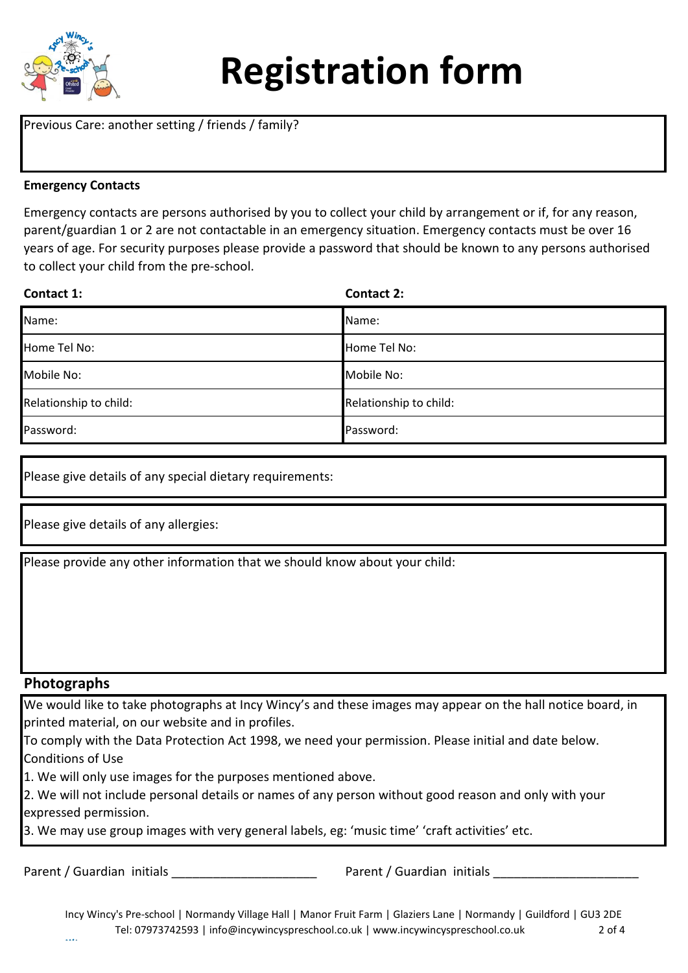

Previous Care: another setting / friends / family?

#### **Emergency Contacts**

Emergency contacts are persons authorised by you to collect your child by arrangement or if, for any reason, parent/guardian 1 or 2 are not contactable in an emergency situation. Emergency contacts must be over 16 years of age. For security purposes please provide a password that should be known to any persons authorised to collect your child from the pre-school.

| Contact 1:             | <b>Contact 2:</b>      |
|------------------------|------------------------|
| Name:                  | Name:                  |
| Home Tel No:           | Home Tel No:           |
| Mobile No:             | Mobile No:             |
| Relationship to child: | Relationship to child: |
| Password:              | Password:              |

Please give details of any special dietary requirements:

Please give details of any allergies:

Please provide any other information that we should know about your child:

## **Photographs**

We would like to take photographs at Incy Wincy's and these images may appear on the hall notice board, in printed material, on our website and in profiles.

To comply with the Data Protection Act 1998, we need your permission. Please initial and date below. Conditions of Use

1. We will only use images for the purposes mentioned above.

2. We will not include personal details or names of any person without good reason and only with your expressed permission.

3. We may use group images with very general labels, eg: 'music time' 'craft activities' etc.

Parent / Guardian initials extending the second parent / Guardian initials parent / Guardian initials parent / Guardian initials and the second of the second of the second of the second of the second of the second of the s

Incy Wincy's Pre-school | Normandy Village Hall | Manor Fruit Farm | Glaziers Lane | Normandy | Guildford | GU3 2DE Tel: 07973742593 | info@incywincyspreschool.co.uk | www.incywincyspreschool.co.uk 2 of 4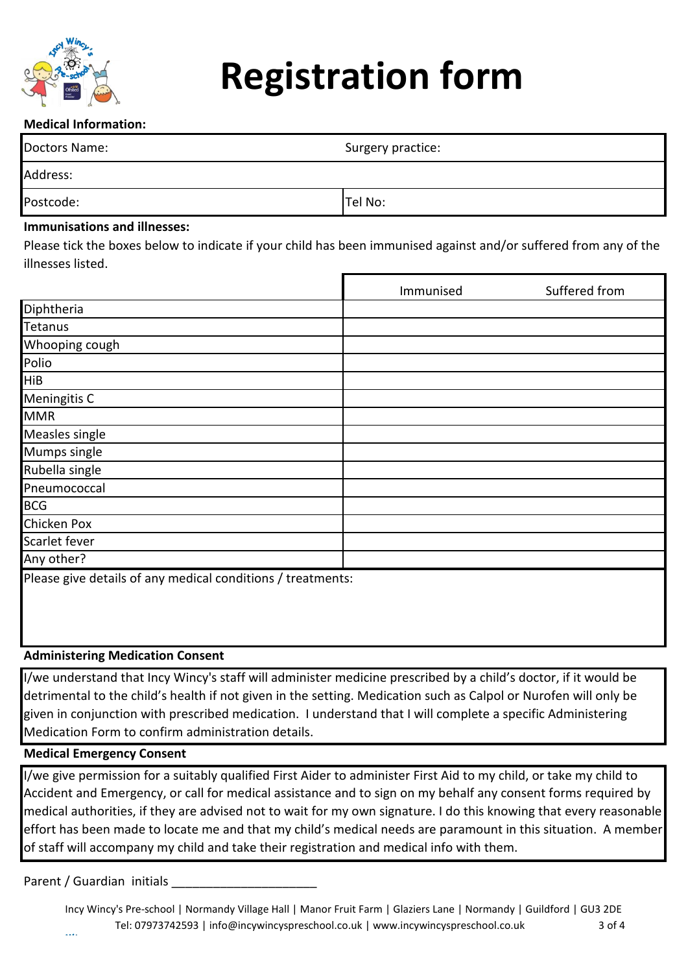

# **Medical Information:**

| Doctors Name: | Surgery practice: |
|---------------|-------------------|
| Address:      |                   |
| Postcode:     | Tel No:           |

#### **Immunisations and illnesses:**

Please tick the boxes below to indicate if your child has been immunised against and/or suffered from any of the illnesses listed.

|                                                             | Immunised | Suffered from |
|-------------------------------------------------------------|-----------|---------------|
| Diphtheria                                                  |           |               |
| Tetanus                                                     |           |               |
| Whooping cough                                              |           |               |
| Polio                                                       |           |               |
| <b>HiB</b>                                                  |           |               |
| <b>Meningitis C</b>                                         |           |               |
| <b>MMR</b>                                                  |           |               |
| Measles single                                              |           |               |
| Mumps single                                                |           |               |
| Rubella single                                              |           |               |
| Pneumococcal                                                |           |               |
| <b>BCG</b>                                                  |           |               |
| <b>Chicken Pox</b>                                          |           |               |
| Scarlet fever                                               |           |               |
| Any other?                                                  |           |               |
| Please give details of any medical conditions / treatments: |           |               |

#### **Administering Medication Consent**

I/we understand that Incy Wincy's staff will administer medicine prescribed by a child's doctor, if it would be detrimental to the child's health if not given in the setting. Medication such as Calpol or Nurofen will only be given in conjunction with prescribed medication. I understand that I will complete a specific Administering Medication Form to confirm administration details.

## **Medical Emergency Consent**

I/we give permission for a suitably qualified First Aider to administer First Aid to my child, or take my child to Accident and Emergency, or call for medical assistance and to sign on my behalf any consent forms required by medical authorities, if they are advised not to wait for my own signature. I do this knowing that every reasonable effort has been made to locate me and that my child's medical needs are paramount in this situation. A member of staff will accompany my child and take their registration and medical info with them.

Parent / Guardian initials

Incy Wincy's Pre-school | Normandy Village Hall | Manor Fruit Farm | Glaziers Lane | Normandy | Guildford | GU3 2DE Tel: 07973742593 | info@incywincyspreschool.co.uk | www.incywincyspreschool.co.uk 3 of 4